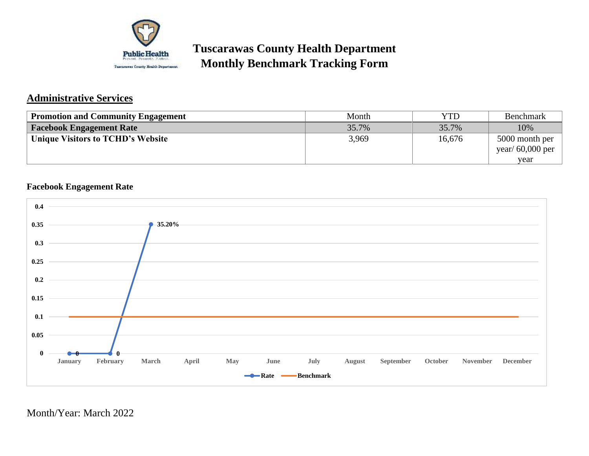

# **Tuscarawas County Health Department Monthly Benchmark Tracking Form**

# **Administrative Services**

| <b>Promotion and Community Engagement</b> | Month | <b>YTD</b> | <b>Benchmark</b>   |
|-------------------------------------------|-------|------------|--------------------|
| <b>Facebook Engagement Rate</b>           | 35.7% | 35.7%      | 10%                |
| Unique Visitors to TCHD's Website         | 3,969 | 16,676     | 5000 month per     |
|                                           |       |            | year/ $60,000$ per |
|                                           |       |            | vear               |

### **Facebook Engagement Rate**

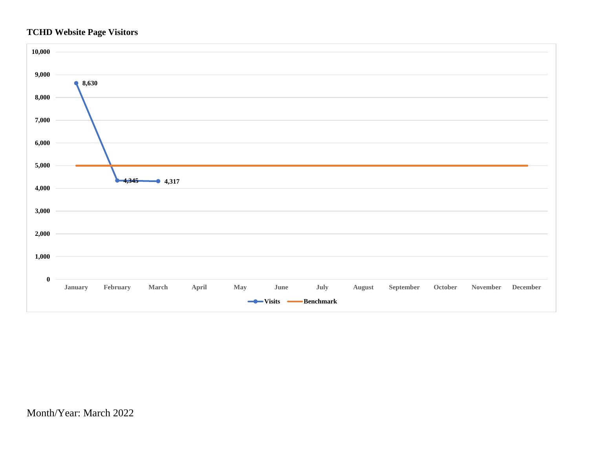# **TCHD Website Page Visitors**

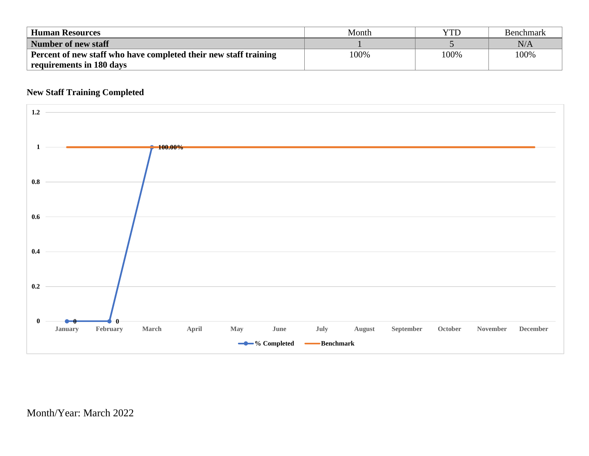| <b>Human Resources</b>                                           | Month | YTD  | <b>Benchmark</b> |
|------------------------------------------------------------------|-------|------|------------------|
| Number of new staff                                              |       |      | $\rm N/A$        |
| Percent of new staff who have completed their new staff training | 100%  | 100% | 100%             |
| requirements in 180 days                                         |       |      |                  |

# **New Staff Training Completed**

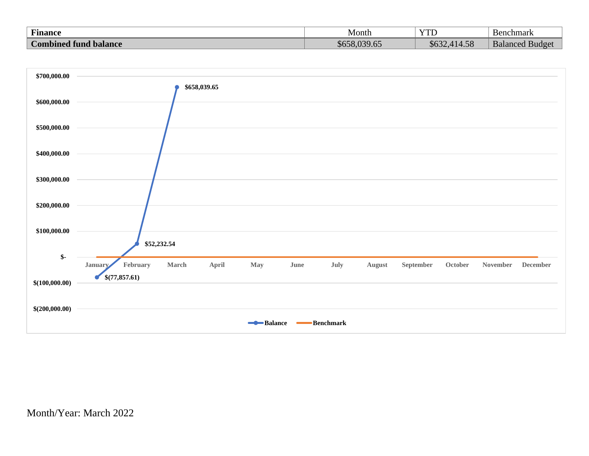| $\mathbf{r}$<br><b>Finance</b>                               | Month                           | <b>YTD</b>              | chmark<br>.                                           |
|--------------------------------------------------------------|---------------------------------|-------------------------|-------------------------------------------------------|
| $\sim$<br>$\mathcal{L}$ ombined $\tau$<br>l balance<br>tund. | 0.20 <sub>1</sub><br>.n<br>, UJ | $\sim$<br>YO3.<br>.4.90 | $\overline{\phantom{a}}$<br><b>Balanced</b><br>BulqP' |

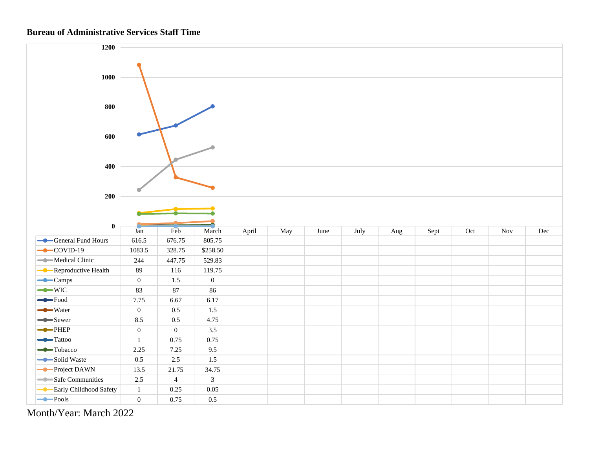#### **Bureau of Administrative Services Staff Time**

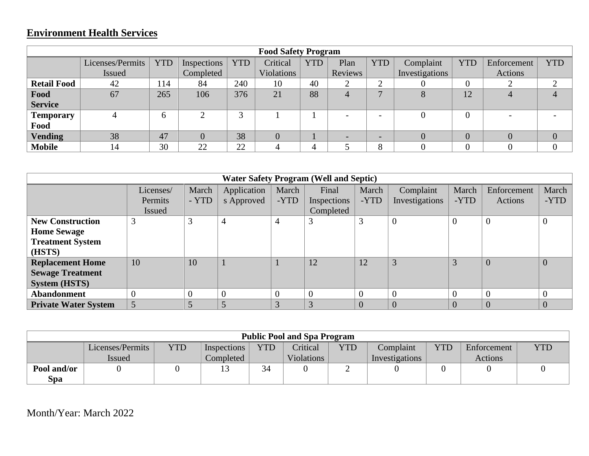# **Environment Health Services**

|                    | <b>Food Safety Program</b> |            |             |                   |                   |            |         |                          |                |                |                |            |
|--------------------|----------------------------|------------|-------------|-------------------|-------------------|------------|---------|--------------------------|----------------|----------------|----------------|------------|
|                    | Licenses/Permits           | <b>YTD</b> | Inspections | <b>YTD</b>        | Critical          | <b>YTD</b> | Plan    | <b>YTD</b>               | Complaint      | <b>YTD</b>     | Enforcement    | <b>YTD</b> |
|                    | Issued                     |            | Completed   |                   | <b>Violations</b> |            | Reviews |                          | Investigations |                | Actions        |            |
| <b>Retail Food</b> | 42                         | 114        | 84          | 240               | 10                | 40         | ⌒       | $\bigcap$<br>∠           |                | $\overline{0}$ | ◠              |            |
| Food               | 67                         | 265        | 106         | 376               | 21                | 88         | 4       | $\mathbf{r}$             | 8              | 12             |                |            |
| <b>Service</b>     |                            |            |             |                   |                   |            |         |                          |                |                |                |            |
| <b>Temporary</b>   |                            | 6          | ⌒           | $\mathbf{\Omega}$ |                   |            |         | $\overline{\phantom{0}}$ |                | $\overline{0}$ |                |            |
| Food               |                            |            |             |                   |                   |            |         |                          |                |                |                |            |
| <b>Vending</b>     | 38                         | 47         |             | 38                | $\overline{0}$    |            |         | $\overline{\phantom{0}}$ |                | $\overline{0}$ | $\overline{0}$ |            |
| <b>Mobile</b>      | $\overline{A}$             | 30         | 22          | 22                | 4                 | 4          |         | 8                        |                |                |                |            |

| <b>Water Safety Program (Well and Septic)</b> |               |          |             |                |             |          |                |          |                |                |
|-----------------------------------------------|---------------|----------|-------------|----------------|-------------|----------|----------------|----------|----------------|----------------|
|                                               | Licenses/     | March    | Application | March          | Final       | March    | Complaint      | March    | Enforcement    | March          |
|                                               | Permits       | - YTD    | s Approved  | -YTD           | Inspections | -YTD     | Investigations | -YTD     | Actions        | -YTD           |
|                                               | <b>Issued</b> |          |             |                | Completed   |          |                |          |                |                |
| <b>New Construction</b>                       | 3             | 3        | 4           | $\overline{4}$ | 3           | 3        | $\overline{0}$ | $\theta$ | $\overline{0}$ |                |
| <b>Home Sewage</b>                            |               |          |             |                |             |          |                |          |                |                |
| <b>Treatment System</b>                       |               |          |             |                |             |          |                |          |                |                |
| (HSTS)                                        |               |          |             |                |             |          |                |          |                |                |
| <b>Replacement Home</b>                       | 10            | 10       |             |                | 12          | 12       | 3              | 3        | $\overline{0}$ | $\overline{0}$ |
| <b>Sewage Treatment</b>                       |               |          |             |                |             |          |                |          |                |                |
| <b>System (HSTS)</b>                          |               |          |             |                |             |          |                |          |                |                |
| <b>Abandonment</b>                            |               | $\theta$ | $\theta$    | $\theta$       |             | $\theta$ | $\overline{0}$ | $\Omega$ |                |                |
| <b>Private Water System</b>                   | 5             | 5        |             | 3              | 3           | $\theta$ | $\overline{0}$ | $\Omega$ |                |                |

| <b>Public Pool and Spa Program</b> |                  |            |             |            |                   |            |                |            |             |            |
|------------------------------------|------------------|------------|-------------|------------|-------------------|------------|----------------|------------|-------------|------------|
|                                    | Licenses/Permits | <b>YTD</b> | Inspections | <b>YTD</b> | Critical          | <b>YTD</b> | Complaint      | <b>YTD</b> | Enforcement | <b>YTD</b> |
|                                    | Issued           |            | Completed   |            | <b>Violations</b> |            | Investigations |            | Actions     |            |
| Pool and/or                        |                  |            |             | 34         |                   | ∸          |                |            |             |            |
| <b>Spa</b>                         |                  |            |             |            |                   |            |                |            |             |            |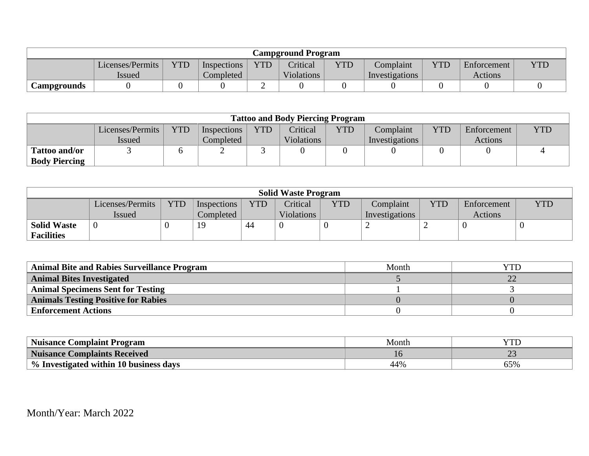| <b>Campground Program</b> |                  |            |             |     |                   |     |                |            |             |     |
|---------------------------|------------------|------------|-------------|-----|-------------------|-----|----------------|------------|-------------|-----|
|                           | Licenses/Permits | <b>YTD</b> | Inspections | YTD | Critical          | YTD | Complaint      | <b>YTD</b> | Enforcement | YTD |
|                           | <b>Issued</b>    |            | Completed   |     | <b>Violations</b> |     | Investigations |            | Actions     |     |
| <b>Campgrounds</b>        |                  |            |             | ∼   |                   |     |                |            |             |     |

| <b>Tattoo and Body Piercing Program</b> |                  |            |             |            |                   |            |                |     |             |            |
|-----------------------------------------|------------------|------------|-------------|------------|-------------------|------------|----------------|-----|-------------|------------|
|                                         | Licenses/Permits | <b>YTD</b> | Inspections | <b>YTD</b> | Critical          | <b>YTD</b> | Complaint      | YTD | Enforcement | <b>YTD</b> |
|                                         | <i>Issued</i>    |            | Completed   |            | <b>Violations</b> |            | Investigations |     | Actions     |            |
| <b>Tattoo and/or</b>                    |                  |            |             |            |                   |            |                |     |             |            |
| <b>Body Piercing</b>                    |                  |            |             |            |                   |            |                |     |             |            |

| <b>Solid Waste Program</b> |                  |            |             |            |                   |            |                |            |             |            |
|----------------------------|------------------|------------|-------------|------------|-------------------|------------|----------------|------------|-------------|------------|
|                            | Licenses/Permits | <b>YTD</b> | Inspections | <b>YTD</b> | Critical          | <b>YTD</b> | Complaint      | <b>YTD</b> | Enforcement | <b>YTD</b> |
|                            | <i>Issued</i>    |            | Completed   |            | <b>Violations</b> |            | Investigations |            | Actions     |            |
| <b>Solid Waste</b>         |                  |            | 19          | 44         |                   |            |                |            |             |            |
| <b>Facilities</b>          |                  |            |             |            |                   |            |                |            |             |            |

| Animal Bite and Rabies Surveillance Program | Month |  |
|---------------------------------------------|-------|--|
| <b>Animal Bites Investigated</b>            |       |  |
| <b>Animal Specimens Sent for Testing</b>    |       |  |
| <b>Animals Testing Positive for Rabies</b>  |       |  |
| <b>Enforcement Actions</b>                  |       |  |

| <b>Nuisance Complaint Program</b>      | Month |                                    |
|----------------------------------------|-------|------------------------------------|
| <b>Nuisance Complaints Received</b>    |       | $\sim$<br>$\overline{\phantom{m}}$ |
| % Investigated within 10 business days | 44%   | $0.0\%$                            |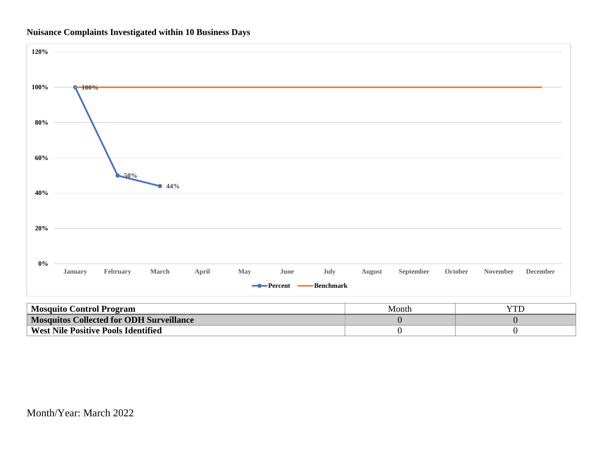



| <b>Mosquito Control Program</b>          | Month |  |
|------------------------------------------|-------|--|
| Mosquitos Collected for ODH Surveillance |       |  |
| West Nile Positive Pools Identified      |       |  |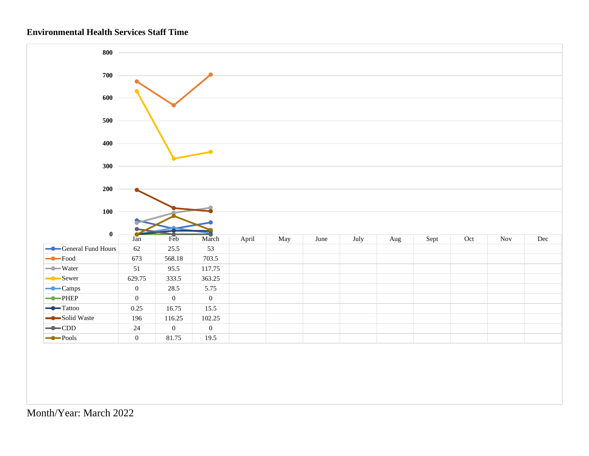## **Environmental Health Services Staff Time**

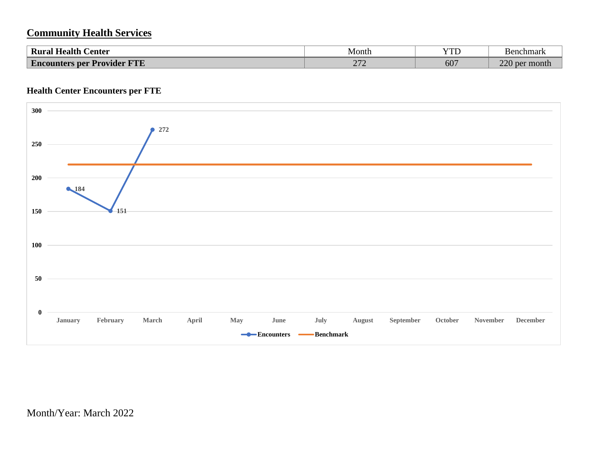# **Community Health Services**

| <b>Rural Health</b><br>$\sim$<br>∠enter                                                                                                                                      | Month                          | YTD | <b>Benchmark</b>                |
|------------------------------------------------------------------------------------------------------------------------------------------------------------------------------|--------------------------------|-----|---------------------------------|
| <b>IMMIR</b><br><b>The Contract of the Contract of the Contract of the Contract of the Contract of the Contract of the Contract o</b><br>' Provider<br><b>Encounters per</b> | $\sim$ $\sim$<br>$\sim$ $\sim$ | 607 | $\Delta$<br>month<br>per<br>∠∠∪ |

# **Health Center Encounters per FTE**

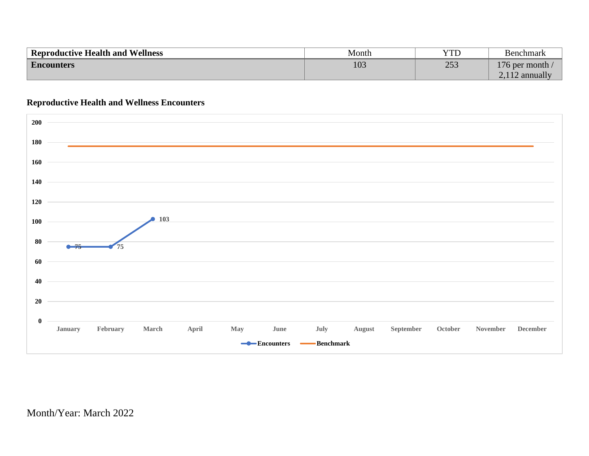| Reproductive Health and Wellness | Month | wrr                                                 | <b>Benchmark</b>              |
|----------------------------------|-------|-----------------------------------------------------|-------------------------------|
| Encounters                       | 103   | $\cap$ $\subset$ $\cap$<br>$\overline{\phantom{a}}$ | $1 \pi r$<br>l'/6 per month / |
|                                  |       |                                                     | $-12$ annually                |

# **Reproductive Health and Wellness Encounters**

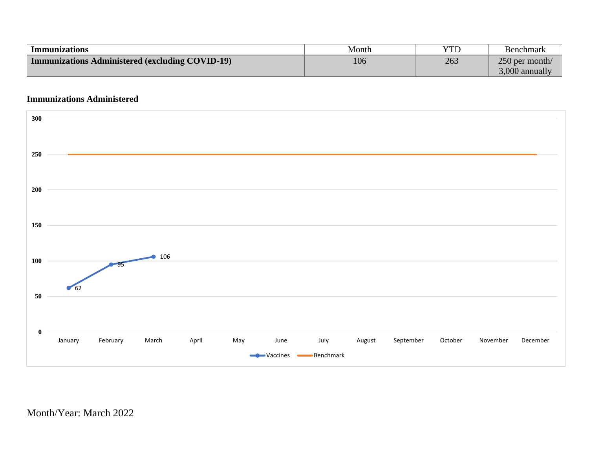| Immunizations                                          | Month | YTD | ıchmark        |
|--------------------------------------------------------|-------|-----|----------------|
| <b>Immunizations Administered (excluding COVID-19)</b> | 106   | 263 | 250 per month/ |
|                                                        |       |     | 3,000 annually |

# **Immunizations Administered**

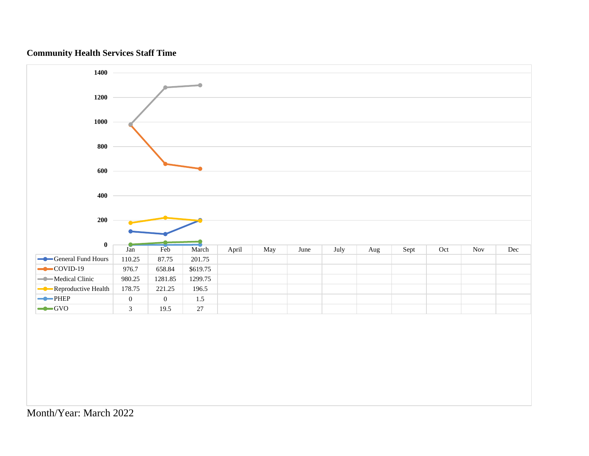# **Community Health Services Staff Time**

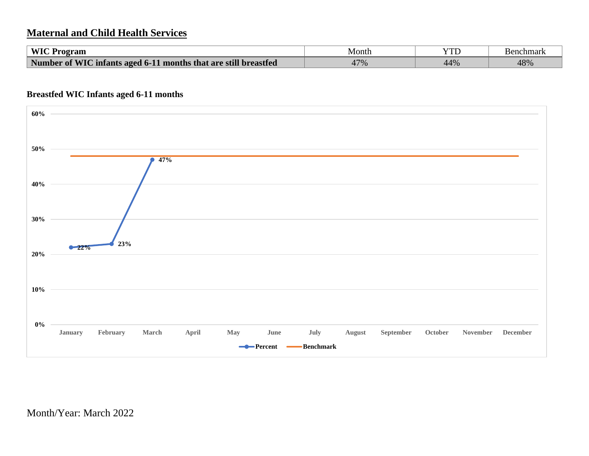# **Maternal and Child Health Services**

| WIC Program                                                     | Month | $T$ <sup><math>\mathsf{T}</math></sup> | Benchmark |
|-----------------------------------------------------------------|-------|----------------------------------------|-----------|
| Number of WIC infants aged 6-11 months that are still breastfed | 47%   | 44%                                    | 48%       |

## **Breastfed WIC Infants aged 6-11 months**

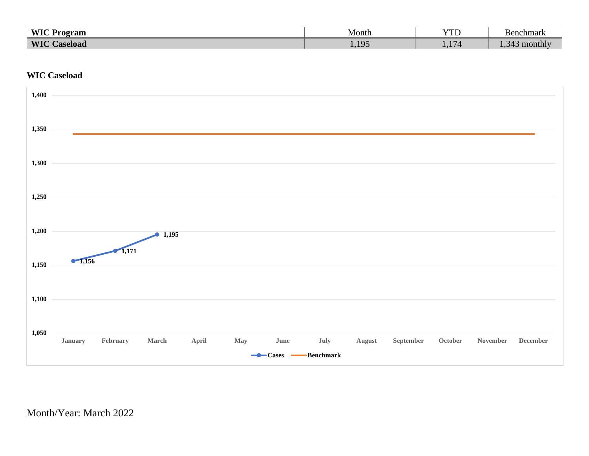| $WIC$ D<br>Program<br>.       | Month           | v zerve<br>ᆚ | ≚enchmar⊾<br>DЕ |
|-------------------------------|-----------------|--------------|-----------------|
| <b>WIC</b><br><b>Caseload</b> | 10 <sup>5</sup> | .            | month           |

#### **WIC Caseload**

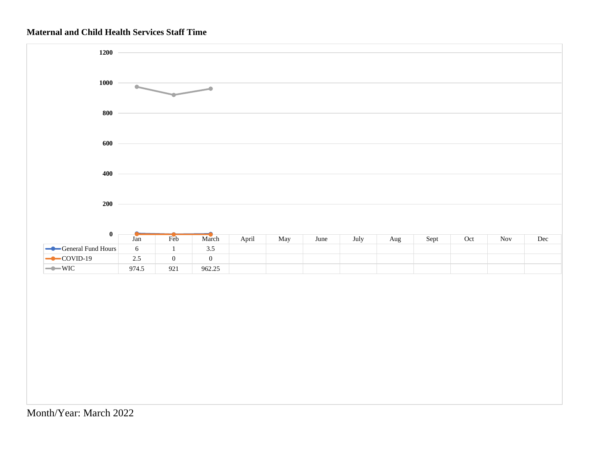## **Maternal and Child Health Services Staff Time**

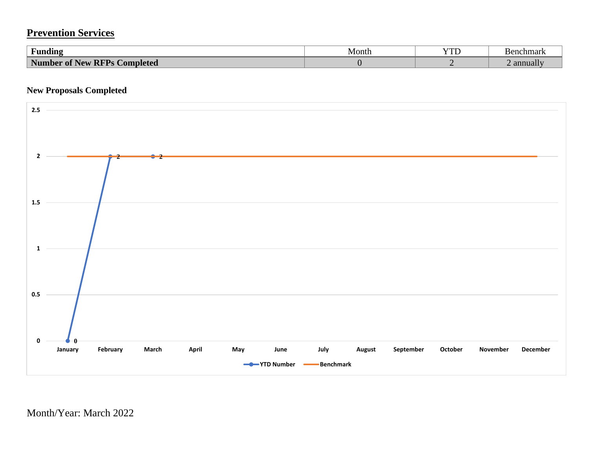# **Prevention Services**

| $\mathbf{r}$ , $\mathbf{r}$<br><b>Funding</b>                           | Month | $\sqrt{7}$<br>ر 1 | Benchmark |
|-------------------------------------------------------------------------|-------|-------------------|-----------|
| <b>BRT</b><br>$-$<br>RFPc<br>Completed<br><b>Number of New</b><br>ITT P |       |                   | annuall   |

#### **New Proposals Completed**

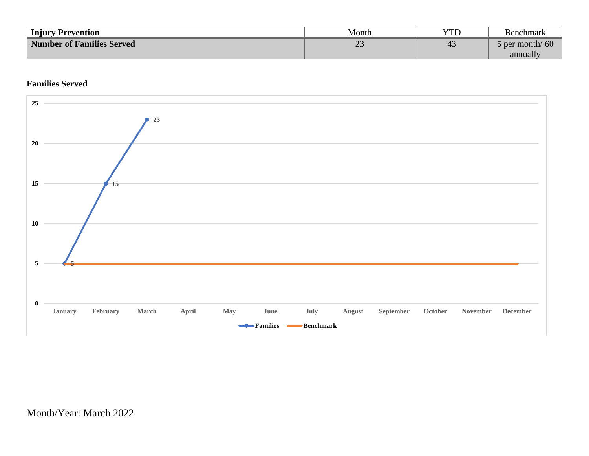| <b>Injury Prevention</b>         | Month         | YTD | <b>Benchmark</b>         |
|----------------------------------|---------------|-----|--------------------------|
| <b>Number of Families Served</b> | $\sim$<br>ر ب | 43  | $\delta$ per month/ $60$ |
|                                  |               |     | annually                 |

## **Families Served**

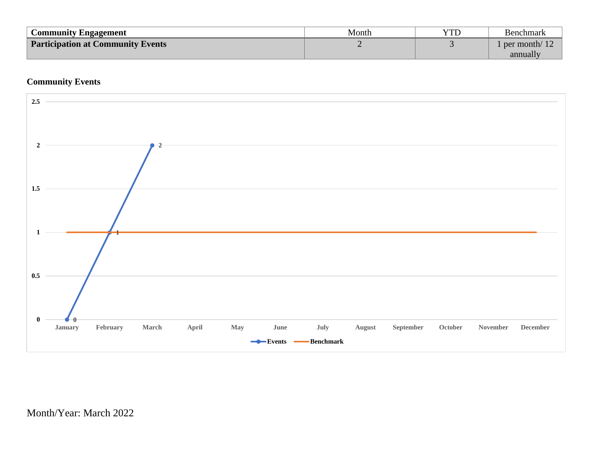| <b>Community Engagement</b>              | Month | YTD | Benchmark                                |
|------------------------------------------|-------|-----|------------------------------------------|
| <b>Participation at Community Events</b> |       |     | $\blacksquare$ per month/ $\blacksquare$ |
|                                          |       |     | annually                                 |

## **Community Events**